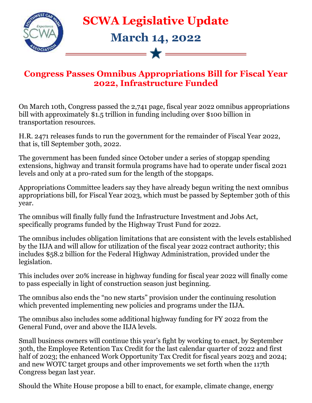

## **SCWA Legislative Update**

## **March 14, 2022**

 $\overrightarrow{\mathbf{x}}$   $\overrightarrow{\phantom{...}}$ 

## **Congress Passes Omnibus Appropriations Bill for Fiscal Year 2022, Infrastructure Funded**

On March 10th, Congress passed the 2,741 page, fiscal year 2022 omnibus appropriations bill with approximately \$1.5 trillion in funding including over \$100 billion in transportation resources.

H.R. 2471 releases funds to run the government for the remainder of Fiscal Year 2022, that is, till September 30th, 2022.

The government has been funded since October under a series of stopgap spending extensions, highway and transit formula programs have had to operate under fiscal 2021 levels and only at a pro-rated sum for the length of the stopgaps.

Appropriations Committee leaders say they have already begun writing the next omnibus appropriations bill, for Fiscal Year 2023, which must be passed by September 30th of this year.

The omnibus will finally fully fund the Infrastructure Investment and Jobs Act, specifically programs funded by the Highway Trust Fund for 2022.

The omnibus includes obligation limitations that are consistent with the levels established by the IIJA and will allow for utilization of the fiscal year 2022 contract authority; this includes \$58.2 billion for the Federal Highway Administration, provided under the legislation.

This includes over 20% increase in highway funding for fiscal year 2022 will finally come to pass especially in light of construction season just beginning.

The omnibus also ends the "no new starts" provision under the continuing resolution which prevented implementing new policies and programs under the IIJA.

The omnibus also includes some additional highway funding for FY 2022 from the General Fund, over and above the IIJA levels.

Small business owners will continue this year's fight by working to enact, by September 30th, the Employee Retention Tax Credit for the last calendar quarter of 2022 and first half of 2023; the enhanced Work Opportunity Tax Credit for fiscal years 2023 and 2024; and new WOTC target groups and other improvements we set forth when the 117th Congress began last year.

Should the White House propose a bill to enact, for example, climate change, energy